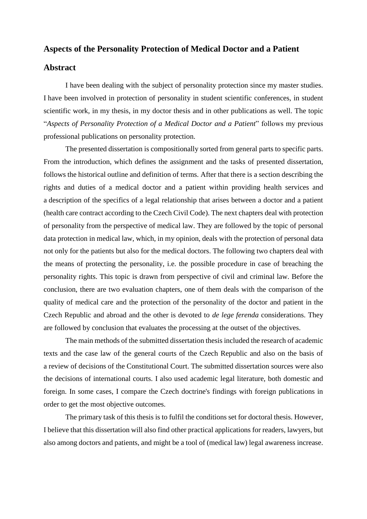## **Aspects of the Personality Protection of Medical Doctor and a Patient**

## **Abstract**

I have been dealing with the subject of personality protection since my master studies. I have been involved in protection of personality in student scientific conferences, in student scientific work, in my thesis, in my doctor thesis and in other publications as well. The topic "*Aspects of Personality Protection of a Medical Doctor and a Patient*" follows my previous professional publications on personality protection.

The presented dissertation is compositionally sorted from general parts to specific parts. From the introduction, which defines the assignment and the tasks of presented dissertation, follows the historical outline and definition of terms. After that there is a section describing the rights and duties of a medical doctor and a patient within providing health services and a description of the specifics of a legal relationship that arises between a doctor and a patient (health care contract according to the Czech Civil Code). The next chapters deal with protection of personality from the perspective of medical law. They are followed by the topic of personal data protection in medical law, which, in my opinion, deals with the protection of personal data not only for the patients but also for the medical doctors. The following two chapters deal with the means of protecting the personality, i.e. the possible procedure in case of breaching the personality rights. This topic is drawn from perspective of civil and criminal law. Before the conclusion, there are two evaluation chapters, one of them deals with the comparison of the quality of medical care and the protection of the personality of the doctor and patient in the Czech Republic and abroad and the other is devoted to *de lege ferenda* considerations. They are followed by conclusion that evaluates the processing at the outset of the objectives.

The main methods of the submitted dissertation thesis included the research of academic texts and the case law of the general courts of the Czech Republic and also on the basis of a review of decisions of the Constitutional Court. The submitted dissertation sources were also the decisions of international courts. I also used academic legal literature, both domestic and foreign. In some cases, I compare the Czech doctrine's findings with foreign publications in order to get the most objective outcomes.

The primary task of this thesis is to fulfil the conditions set for doctoral thesis. However, I believe that this dissertation will also find other practical applications for readers, lawyers, but also among doctors and patients, and might be a tool of (medical law) legal awareness increase.